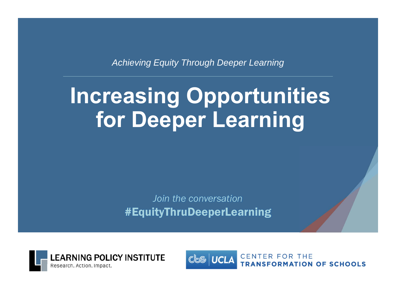*Achieving Equity Through Deeper Learning*

# **Increasing Opportunities for Deeper Learning**

*Join the conversation*#EquityThruDeeperLearning





**CENTER FOR THE TRANSFORMATION OF SCHOOLS**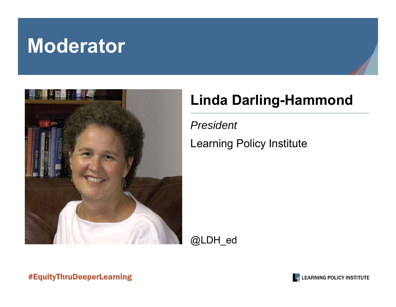### **Moderator**



### **Linda Darling-Hammond**

*President*

Learning Policy Institute

@LDH\_ed

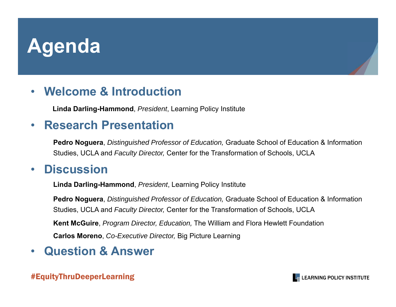## **Agenda**

#### •**Welcome & Introduction**

**Linda Darling-Hammond**, *President*, Learning Policy Institute

#### $\bullet$ **Research Presentation**

**Pedro Noguera**, *Distinguished Professor of Education,* Graduate School of Education & Information Studies, UCLA and *Faculty Director,* Center for the Transformation of Schools, UCLA

#### •**Discussion**

**Linda Darling-Hammond**, *President*, Learning Policy Institute

**Pedro Noguera**, *Distinguished Professor of Education,* Graduate School of Education & Information Studies, UCLA and *Faculty Director,* Center for the Transformation of Schools, UCLA

**Kent McGuire**, *Program Director, Education,* The William and Flora Hewlett Foundation

**Carlos Moreno**, *Co-Executive Director,* Big Picture Learning

#### •**Question & Answer**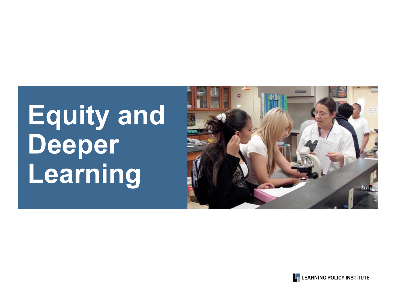# **Equity and Deeper Learning**



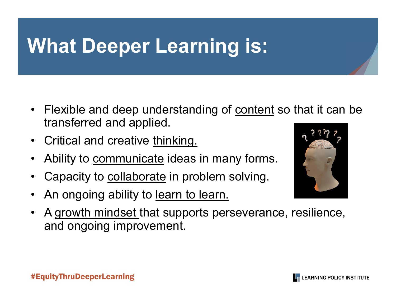## **What Deeper Learning is:**

- $\bullet$ Flexible and deep understanding of content so that it can be transferred and applied.
- •Critical and creative thinking.
- •Ability to communicate ideas in many forms.
- •Capacity to collaborate in problem solving.
- •An ongoing ability to learn to learn.
- •A growth mindset that supports perseverance, resilience, and ongoing improvement.

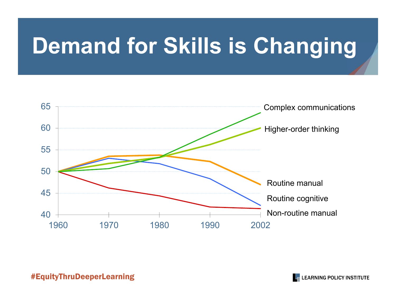# **Demand for Skills is Changing**

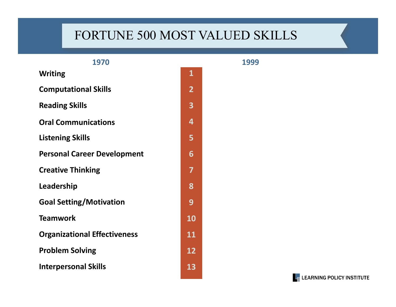### FORTUNE 500 MOST VALUED SKILLS

| 1970                                |                | 1999 |
|-------------------------------------|----------------|------|
| <b>Writing</b>                      | $\mathbf{1}$   |      |
| <b>Computational Skills</b>         | $\overline{2}$ |      |
| <b>Reading Skills</b>               | 3              |      |
| <b>Oral Communications</b>          | 4              |      |
| <b>Listening Skills</b>             | 5              |      |
| <b>Personal Career Development</b>  | 6              |      |
| <b>Creative Thinking</b>            | 7              |      |
| Leadership                          | 8              |      |
| <b>Goal Setting/Motivation</b>      | 9              |      |
| <b>Teamwork</b>                     | 10             |      |
| <b>Organizational Effectiveness</b> | 11             |      |
| <b>Problem Solving</b>              | 12             |      |
| <b>Interpersonal Skills</b>         | 13             |      |
|                                     |                |      |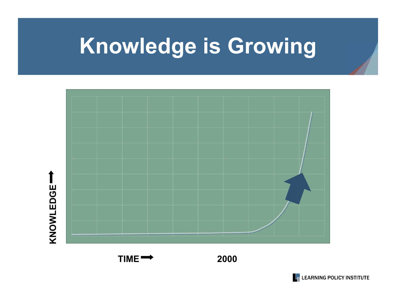# **Knowledge is Growing**



TIME <sup>→</sup>

**2000**

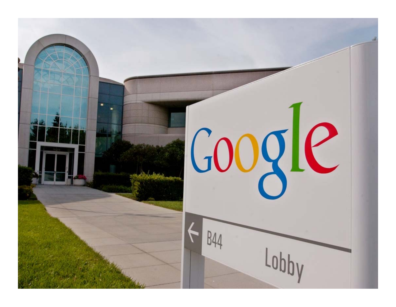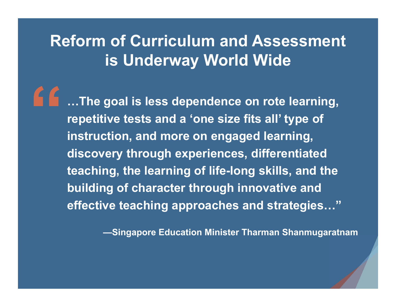### **Reform of Curriculum and Assessment is Underway World Wide**

**…The goal is less dependence on rote learning, repetitive tests and a 'one size fits all' type of instruction, and more on engaged learning, discovery through experiences, differentiated teaching, the learning of life-long skills, and the building of character through innovative and effective teaching approaches and strategies…"**

**—Singapore Education Minister Tharman Shanmugaratnam**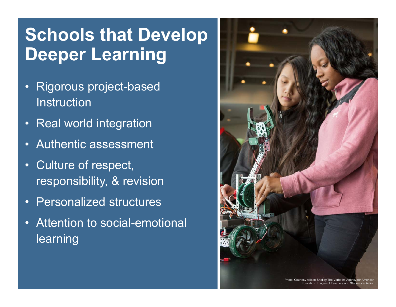### **Schools that Develop Deeper Learning**

- • Rigorous project-based **Instruction**
- Real world integration
- •Authentic assessment
- Culture of respect, responsibility, & revision
- •Personalized structures
- • Attention to social-emotional learning

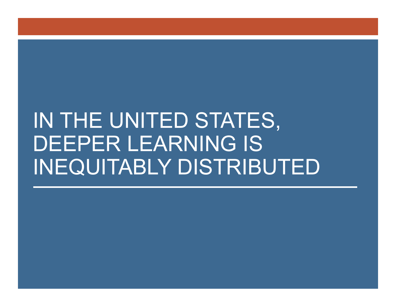# IN THE UNITED STATES, DEEPER LEARNING IS INEQUITABLY DISTRIBUTED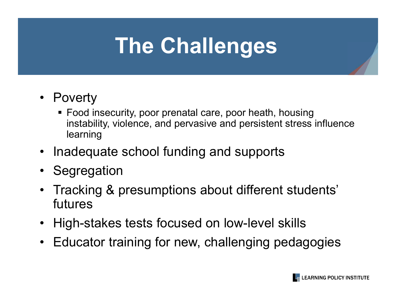# **The Challenges**

- Poverty
	- Food insecurity, poor prenatal care, poor heath, housing instability, violence, and pervasive and persistent stress influence learning
- Inadequate school funding and supports
- Segregation
- Tracking & presumptions about different students' futures
- High-stakes tests focused on low-level skills
- Educator training for new, challenging pedagogies

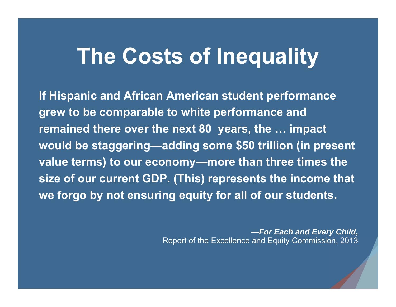## **The Costs of Inequality**

**If Hispanic and African American student performance grew to be comparable to white performance and remained there over the next 80 years, the … impact would be staggering—adding some \$50 trillion (in present value terms) to our economy—more than three times the size of our current GDP. (This) represents the income that we forgo by not ensuring equity for all of our students.** 

> **—***For Each and Every Child***,**  Report of the Excellence and Equity Commission, 2013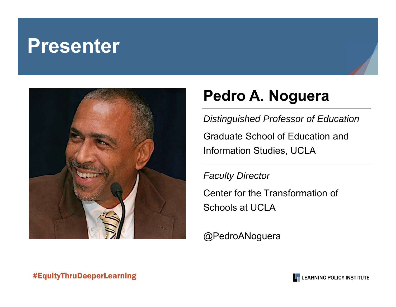### **Presenter**



### **Pedro A. Noguera**

*Distinguished Professor of Education* Graduate School of Education and Information Studies, UCLA

*Faculty Director*

Center for the Transformation of Schools at UCLA

@PedroANoguera

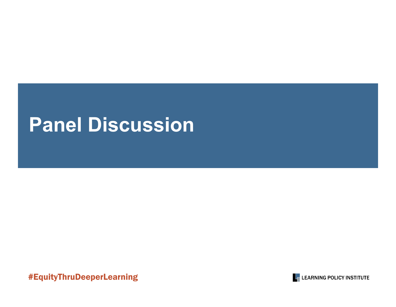## **Panel Discussion**

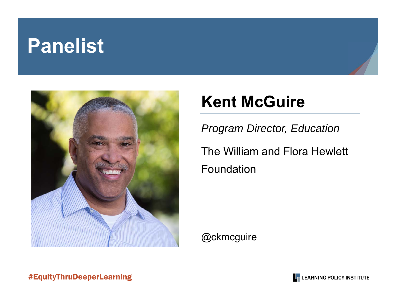## **Panelist**



### **Kent McGuire**

*Program Director, Education*

The William and Flora Hewlett Foundation

@ckmcguire

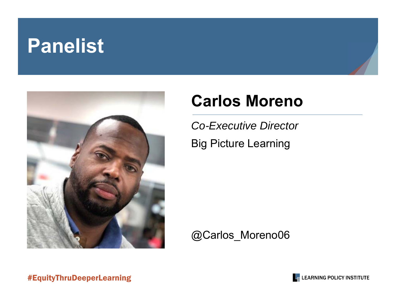## **Panelist**



### **Carlos Moreno**

*Co-Executive Director*

Big Picture Learning

@Carlos\_Moreno06

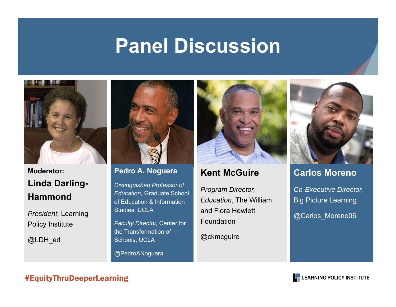### **Panel Discussion**



### **Moderator: Linda Darling-Hammond**

*President,* Learning Policy Institute

@LDH\_ed



#### **Pedro A. Noguera**

*Distinguished Professor of Education,* Graduate School of Education & Information Studies, UCLA

*Faculty Director,* Center for the Transformation of Schools, UCLA

@PedroANoguera



### **Kent McGuire**

*Program Director, Education*, The William and Flora Hewlett Foundation

@ckmcguire



#### **Carlos Moreno**

*Co-Executive Director,*  Big Picture Learning @Carlos\_Moreno06

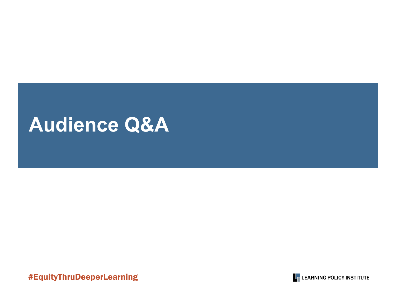## **Audience Q&A**

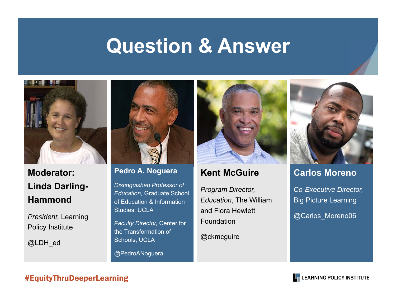### **Question & Answer**



### **Moderator: Linda Darling-Hammond**

*President,* Learning Policy Institute

@LDH\_ed



#### **Pedro A. Noguera**

*Distinguished Professor of Education,* Graduate School of Education & Information Studies, UCLA

*Faculty Director,* Center for the Transformation of Schools, UCLA

@PedroANoguera



### **Kent McGuire**

*Program Director, Education*, The William and Flora Hewlett Foundation

@ckmcguire



#### **Carlos Moreno**

*Co-Executive Director,*  Big Picture Learning @Carlos\_Moreno06

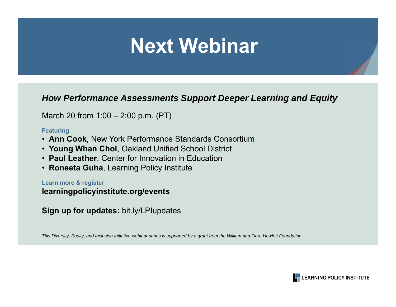## **Next Webinar**

*How Performance Assessments Support Deeper Learning and Equity*

March 20 from 1:00 – 2:00 p.m. (PT)

#### **Featuring**

- **Ann Cook**, New York Performance Standards Consortium
- **Young Whan Choi**, Oakland Unified School District
- **Paul Leather**, Center for Innovation in Education
- **Roneeta Guha**, Learning Policy Institute

#### **Learn more & register learningpolicyinstitute.org/events**

**Sign up for updates:** bit.ly/LPIupdates

*This Diversity, Equity, and Inclusion Initiative webinar series is supported by a grant from the William and Flora Hewlett Foundation.*